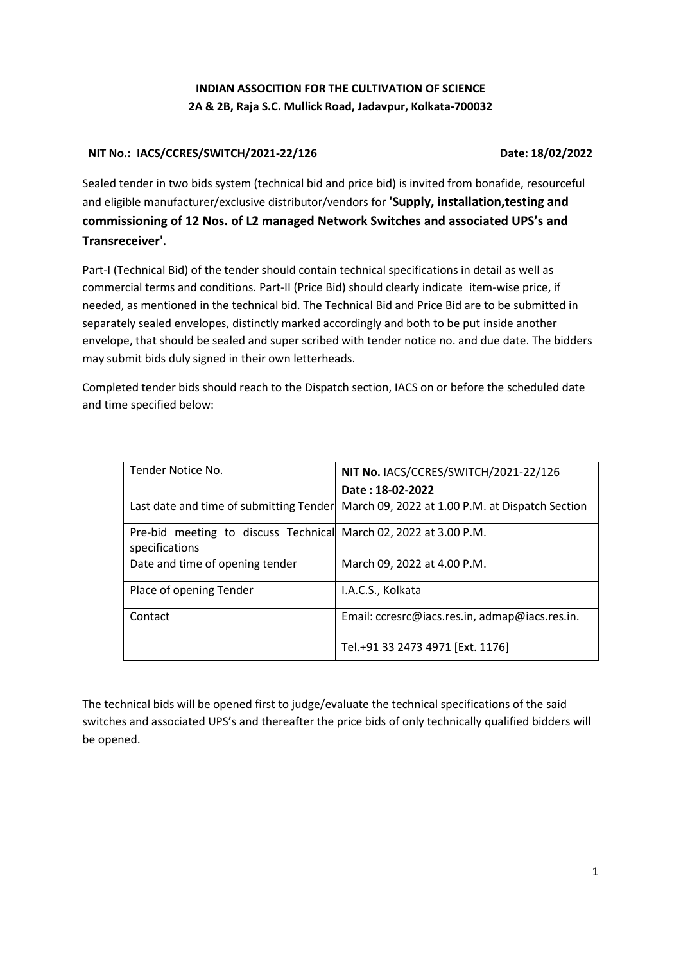# **INDIAN ASSOCITION FOR THE CULTIVATION OF SCIENCE 2A & 2B, Raja S.C. Mullick Road, Jadavpur, Kolkata-700032**

## **NIT No.: IACS/CCRES/SWITCH/2021-22/126 Date: 18/02/2022**

Sealed tender in two bids system (technical bid and price bid) is invited from bonafide, resourceful and eligible manufacturer/exclusive distributor/vendors for **'Supply, installation,testing and commissioning of 12 Nos. of L2 managed Network Switches and associated UPS's and Transreceiver'.**

Part-I (Technical Bid) of the tender should contain technical specifications in detail as well as commercial terms and conditions. Part-II (Price Bid) should clearly indicate item-wise price, if needed, as mentioned in the technical bid. The Technical Bid and Price Bid are to be submitted in separately sealed envelopes, distinctly marked accordingly and both to be put inside another envelope, that should be sealed and super scribed with tender notice no. and due date. The bidders may submit bids duly signed in their own letterheads.

Completed tender bids should reach to the Dispatch section, IACS on or before the scheduled date and time specified below:

| Tender Notice No.                                                                  | NIT No. IACS/CCRES/SWITCH/2021-22/126           |  |  |
|------------------------------------------------------------------------------------|-------------------------------------------------|--|--|
|                                                                                    | Date: 18-02-2022                                |  |  |
| Last date and time of submitting Tender                                            | March 09, 2022 at 1.00 P.M. at Dispatch Section |  |  |
| Pre-bid meeting to discuss Technical March 02, 2022 at 3.00 P.M.<br>specifications |                                                 |  |  |
| Date and time of opening tender                                                    | March 09, 2022 at 4.00 P.M.                     |  |  |
| Place of opening Tender                                                            | I.A.C.S., Kolkata                               |  |  |
| Contact                                                                            | Email: ccresrc@iacs.res.in, admap@iacs.res.in.  |  |  |
|                                                                                    | Tel.+91 33 2473 4971 [Ext. 1176]                |  |  |

The technical bids will be opened first to judge/evaluate the technical specifications of the said switches and associated UPS's and thereafter the price bids of only technically qualified bidders will be opened.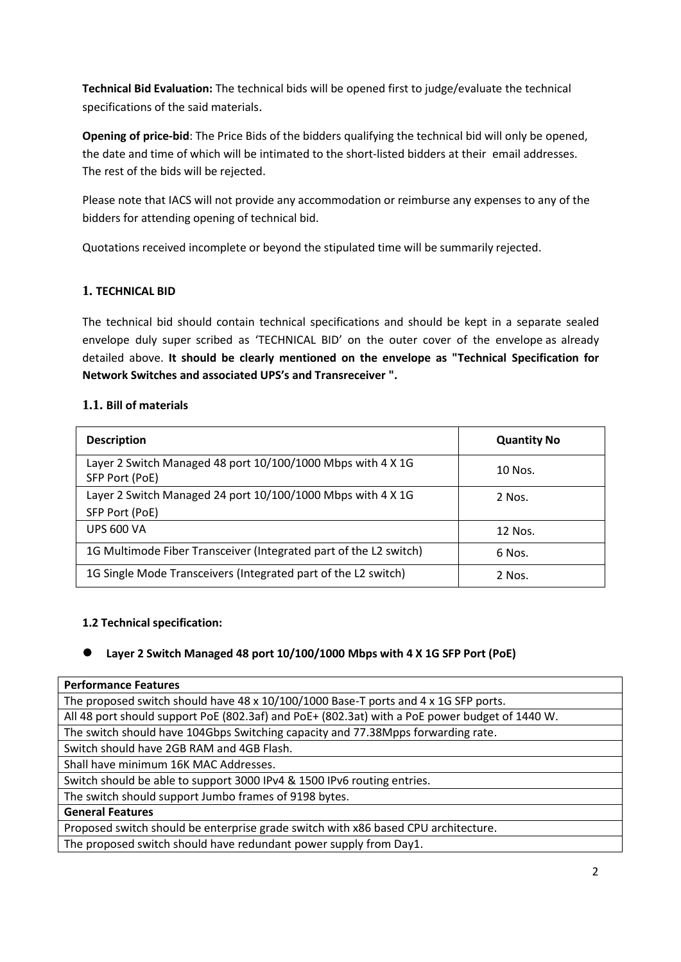**Technical Bid Evaluation:** The technical bids will be opened first to judge/evaluate the technical specifications of the said materials.

**Opening of price-bid**: The Price Bids of the bidders qualifying the technical bid will only be opened, the date and time of which will be intimated to the short-listed bidders at their email addresses. The rest of the bids will be rejected.

Please note that IACS will not provide any accommodation or reimburse any expenses to any of the bidders for attending opening of technical bid.

Quotations received incomplete or beyond the stipulated time will be summarily rejected.

# **1. TECHNICAL BID**

The technical bid should contain technical specifications and should be kept in a separate sealed envelope duly super scribed as 'TECHNICAL BID' on the outer cover of the envelope as already detailed above. **It should be clearly mentioned on the envelope as "Technical Specification for Network Switches and associated UPS's and Transreceiver ".**

## **1.1. Bill of materials**

| <b>Description</b>                                                            | <b>Quantity No</b> |  |  |
|-------------------------------------------------------------------------------|--------------------|--|--|
| Layer 2 Switch Managed 48 port 10/100/1000 Mbps with 4 X 1G<br>SFP Port (PoE) | 10 Nos.            |  |  |
| Layer 2 Switch Managed 24 port 10/100/1000 Mbps with 4 X 1G                   | 2 Nos.             |  |  |
| SFP Port (PoE)                                                                |                    |  |  |
| <b>UPS 600 VA</b>                                                             | 12 Nos.            |  |  |
| 1G Multimode Fiber Transceiver (Integrated part of the L2 switch)             | 6 Nos.             |  |  |
| 1G Single Mode Transceivers (Integrated part of the L2 switch)                | 2 Nos.             |  |  |

## **1.2 Technical specification:**

# **Layer 2 Switch Managed 48 port 10/100/1000 Mbps with 4 X 1G SFP Port (PoE)**

#### **Performance Features**

| The proposed switch should have 48 x 10/100/1000 Base-T ports and 4 x 1G SFP ports.            |
|------------------------------------------------------------------------------------------------|
| All 48 port should support PoE (802.3af) and PoE+ (802.3at) with a PoE power budget of 1440 W. |
| The switch should have 104Gbps Switching capacity and 77.38Mpps forwarding rate.               |
| Switch should have 2GB RAM and 4GB Flash.                                                      |
| Shall have minimum 16K MAC Addresses.                                                          |
| Switch should be able to support 3000 IPv4 & 1500 IPv6 routing entries.                        |
| The switch should support Jumbo frames of 9198 bytes.                                          |
| <b>General Features</b>                                                                        |
| Proposed switch should be enterprise grade switch with x86 based CPU architecture.             |

The proposed switch should have redundant power supply from Day1.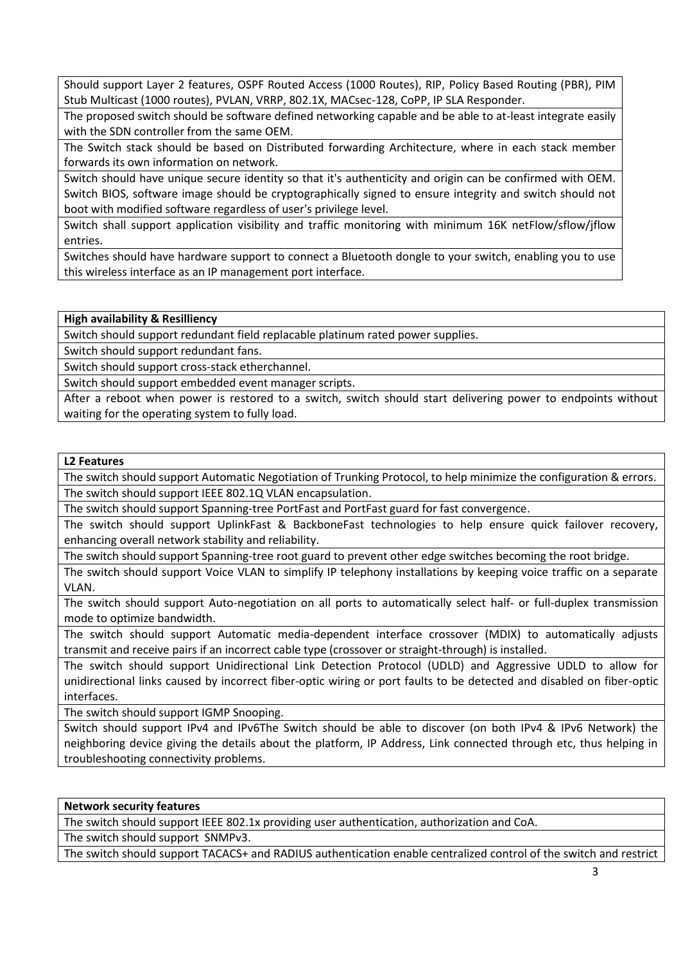Should support Layer 2 features, OSPF Routed Access (1000 Routes), RIP, Policy Based Routing (PBR), PIM Stub Multicast (1000 routes), PVLAN, VRRP, 802.1X, MACsec-128, CoPP, IP SLA Responder.

The proposed switch should be software defined networking capable and be able to at-least integrate easily with the SDN controller from the same OEM.

The Switch stack should be based on Distributed forwarding Architecture, where in each stack member forwards its own information on network.

Switch should have unique secure identity so that it's authenticity and origin can be confirmed with OEM. Switch BIOS, software image should be cryptographically signed to ensure integrity and switch should not boot with modified software regardless of user's privilege level.

Switch shall support application visibility and traffic monitoring with minimum 16K netFlow/sflow/jflow entries.

Switches should have hardware support to connect a Bluetooth dongle to your switch, enabling you to use this wireless interface as an IP management port interface.

**High availability & Resilliency**

Switch should support redundant field replacable platinum rated power supplies.

Switch should support redundant fans.

Switch should support cross-stack etherchannel.

Switch should support embedded event manager scripts.

After a reboot when power is restored to a switch, switch should start delivering power to endpoints without waiting for the operating system to fully load.

#### **L2 Features**

The switch should support Automatic Negotiation of Trunking Protocol, to help minimize the configuration & errors. The switch should support IEEE 802.1Q VLAN encapsulation.

The switch should support Spanning-tree PortFast and PortFast guard for fast convergence.

The switch should support UplinkFast & BackboneFast technologies to help ensure quick failover recovery, enhancing overall network stability and reliability.

The switch should support Spanning-tree root guard to prevent other edge switches becoming the root bridge.

The switch should support Voice VLAN to simplify IP telephony installations by keeping voice traffic on a separate VLAN.

The switch should support Auto-negotiation on all ports to automatically select half- or full-duplex transmission mode to optimize bandwidth.

The switch should support Automatic media-dependent interface crossover (MDIX) to automatically adjusts transmit and receive pairs if an incorrect cable type (crossover or straight-through) is installed.

The switch should support Unidirectional Link Detection Protocol (UDLD) and Aggressive UDLD to allow for unidirectional links caused by incorrect fiber-optic wiring or port faults to be detected and disabled on fiber-optic interfaces.

The switch should support IGMP Snooping.

Switch should support IPv4 and IPv6The Switch should be able to discover (on both IPv4 & IPv6 Network) the neighboring device giving the details about the platform, IP Address, Link connected through etc, thus helping in troubleshooting connectivity problems.

#### **Network security features**

The switch should support IEEE 802.1x providing user authentication, authorization and CoA.

The switch should support SNMPv3.

The switch should support TACACS+ and RADIUS authentication enable centralized control of the switch and restrict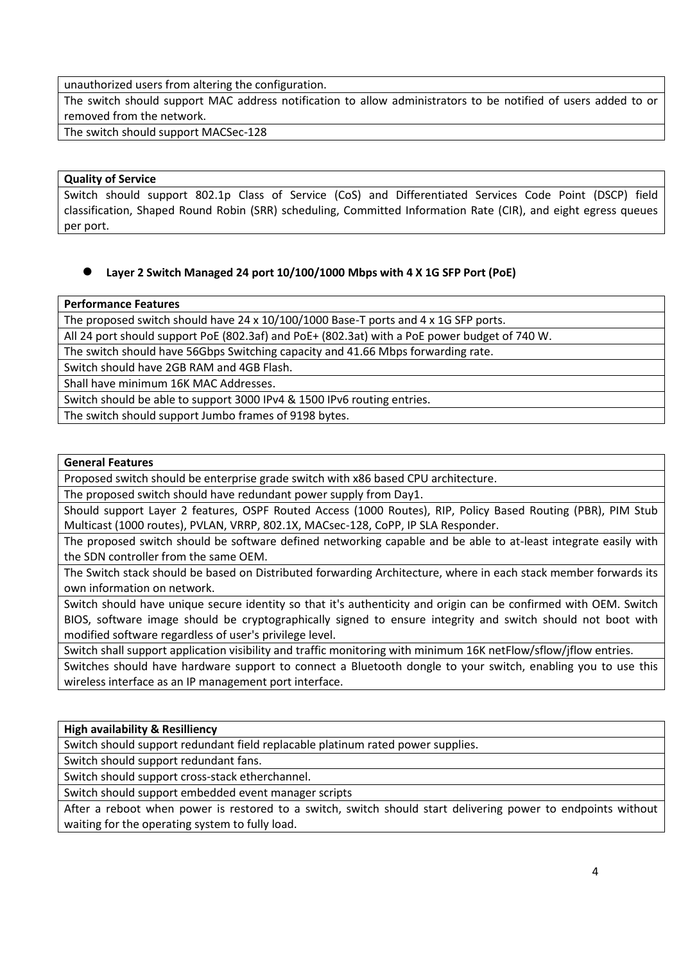unauthorized users from altering the configuration.

The switch should support MAC address notification to allow administrators to be notified of users added to or removed from the network.

The switch should support MACSec-128

## **Quality of Service**

Switch should support 802.1p Class of Service (CoS) and Differentiated Services Code Point (DSCP) field classification, Shaped Round Robin (SRR) scheduling, Committed Information Rate (CIR), and eight egress queues per port.

## **Layer 2 Switch Managed 24 port 10/100/1000 Mbps with 4 X 1G SFP Port (PoE)**

#### **Performance Features**

The proposed switch should have 24 x 10/100/1000 Base-T ports and 4 x 1G SFP ports.

All 24 port should support PoE (802.3af) and PoE+ (802.3at) with a PoE power budget of 740 W.

The switch should have 56Gbps Switching capacity and 41.66 Mbps forwarding rate.

Switch should have 2GB RAM and 4GB Flash.

Shall have minimum 16K MAC Addresses.

Switch should be able to support 3000 IPv4 & 1500 IPv6 routing entries.

The switch should support Jumbo frames of 9198 bytes.

#### **General Features**

Proposed switch should be enterprise grade switch with x86 based CPU architecture.

The proposed switch should have redundant power supply from Day1.

Should support Layer 2 features, OSPF Routed Access (1000 Routes), RIP, Policy Based Routing (PBR), PIM Stub Multicast (1000 routes), PVLAN, VRRP, 802.1X, MACsec-128, CoPP, IP SLA Responder.

The proposed switch should be software defined networking capable and be able to at-least integrate easily with the SDN controller from the same OEM.

The Switch stack should be based on Distributed forwarding Architecture, where in each stack member forwards its own information on network.

Switch should have unique secure identity so that it's authenticity and origin can be confirmed with OEM. Switch BIOS, software image should be cryptographically signed to ensure integrity and switch should not boot with modified software regardless of user's privilege level.

Switch shall support application visibility and traffic monitoring with minimum 16K netFlow/sflow/jflow entries.

Switches should have hardware support to connect a Bluetooth dongle to your switch, enabling you to use this wireless interface as an IP management port interface.

## **High availability & Resilliency**

Switch should support redundant field replacable platinum rated power supplies.

Switch should support redundant fans.

Switch should support cross-stack etherchannel.

Switch should support embedded event manager scripts

After a reboot when power is restored to a switch, switch should start delivering power to endpoints without waiting for the operating system to fully load.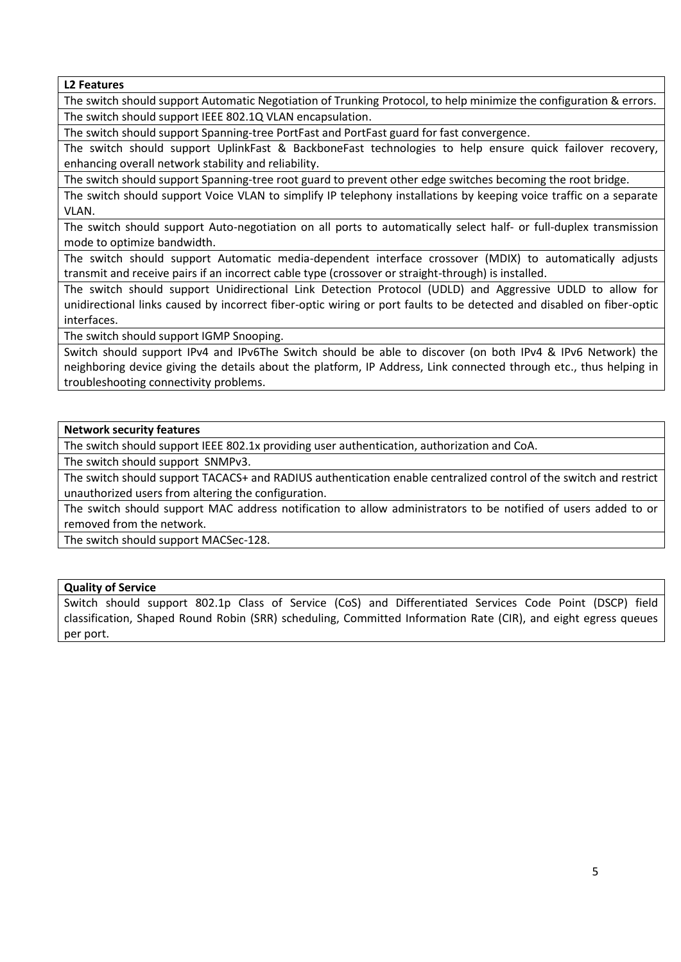**L2 Features**

The switch should support Automatic Negotiation of Trunking Protocol, to help minimize the configuration & errors. The switch should support IEEE 802.1Q VLAN encapsulation.

The switch should support Spanning-tree PortFast and PortFast guard for fast convergence.

The switch should support UplinkFast & BackboneFast technologies to help ensure quick failover recovery, enhancing overall network stability and reliability.

The switch should support Spanning-tree root guard to prevent other edge switches becoming the root bridge.

The switch should support Voice VLAN to simplify IP telephony installations by keeping voice traffic on a separate VLAN.

The switch should support Auto-negotiation on all ports to automatically select half- or full-duplex transmission mode to optimize bandwidth.

The switch should support Automatic media-dependent interface crossover (MDIX) to automatically adjusts transmit and receive pairs if an incorrect cable type (crossover or straight-through) is installed.

The switch should support Unidirectional Link Detection Protocol (UDLD) and Aggressive UDLD to allow for unidirectional links caused by incorrect fiber-optic wiring or port faults to be detected and disabled on fiber-optic interfaces.

The switch should support IGMP Snooping.

Switch should support IPv4 and IPv6The Switch should be able to discover (on both IPv4 & IPv6 Network) the neighboring device giving the details about the platform, IP Address, Link connected through etc., thus helping in troubleshooting connectivity problems.

#### **Network security features**

The switch should support IEEE 802.1x providing user authentication, authorization and CoA.

The switch should support SNMPv3.

The switch should support TACACS+ and RADIUS authentication enable centralized control of the switch and restrict unauthorized users from altering the configuration.

The switch should support MAC address notification to allow administrators to be notified of users added to or removed from the network.

The switch should support MACSec-128.

#### **Quality of Service**

Switch should support 802.1p Class of Service (CoS) and Differentiated Services Code Point (DSCP) field classification, Shaped Round Robin (SRR) scheduling, Committed Information Rate (CIR), and eight egress queues per port.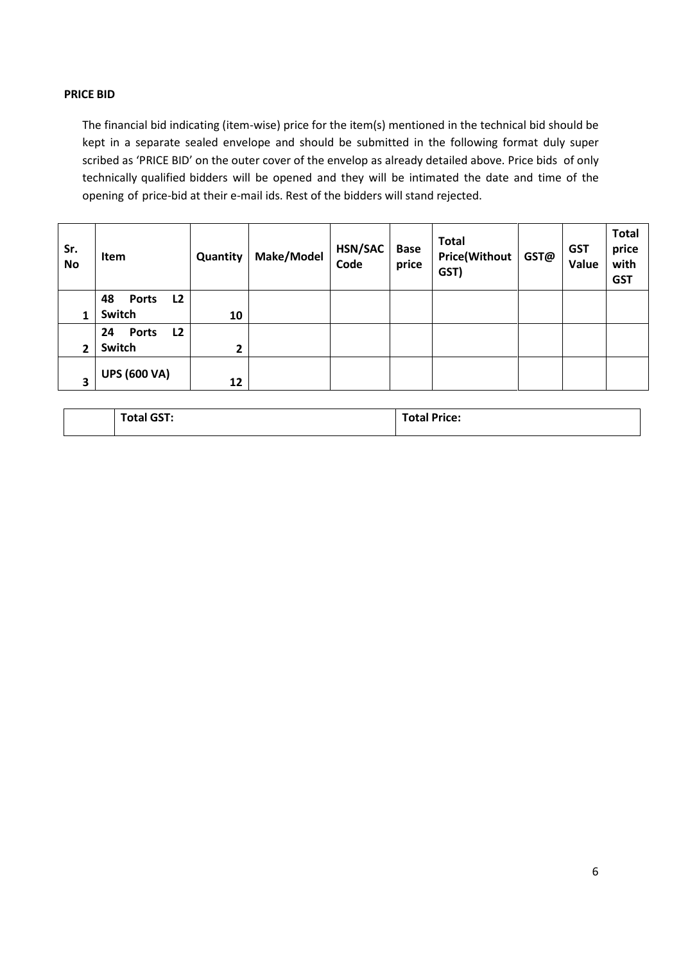## **PRICE BID**

The financial bid indicating (item-wise) price for the item(s) mentioned in the technical bid should be kept in a separate sealed envelope and should be submitted in the following format duly super scribed as 'PRICE BID' on the outer cover of the envelop as already detailed above. Price bids of only technically qualified bidders will be opened and they will be intimated the date and time of the opening of price-bid at their e-mail ids. Rest of the bidders will stand rejected.

| Sr.<br><b>No</b> | <b>Item</b>              | Quantity | Make/Model | HSN/SAC<br>Code | <b>Base</b><br>price | <b>Total</b><br><b>Price(Without</b><br>GST) | GST@ | <b>GST</b><br>Value | <b>Total</b><br>price<br>with<br><b>GST</b> |
|------------------|--------------------------|----------|------------|-----------------|----------------------|----------------------------------------------|------|---------------------|---------------------------------------------|
|                  | L2<br>48<br><b>Ports</b> |          |            |                 |                      |                                              |      |                     |                                             |
| 1                | Switch                   | 10       |            |                 |                      |                                              |      |                     |                                             |
|                  | L2<br>24<br><b>Ports</b> |          |            |                 |                      |                                              |      |                     |                                             |
| 2                | Switch                   | 2        |            |                 |                      |                                              |      |                     |                                             |
| 3                | <b>UPS (600 VA)</b>      | 12       |            |                 |                      |                                              |      |                     |                                             |

|  | -- |
|--|----|
|--|----|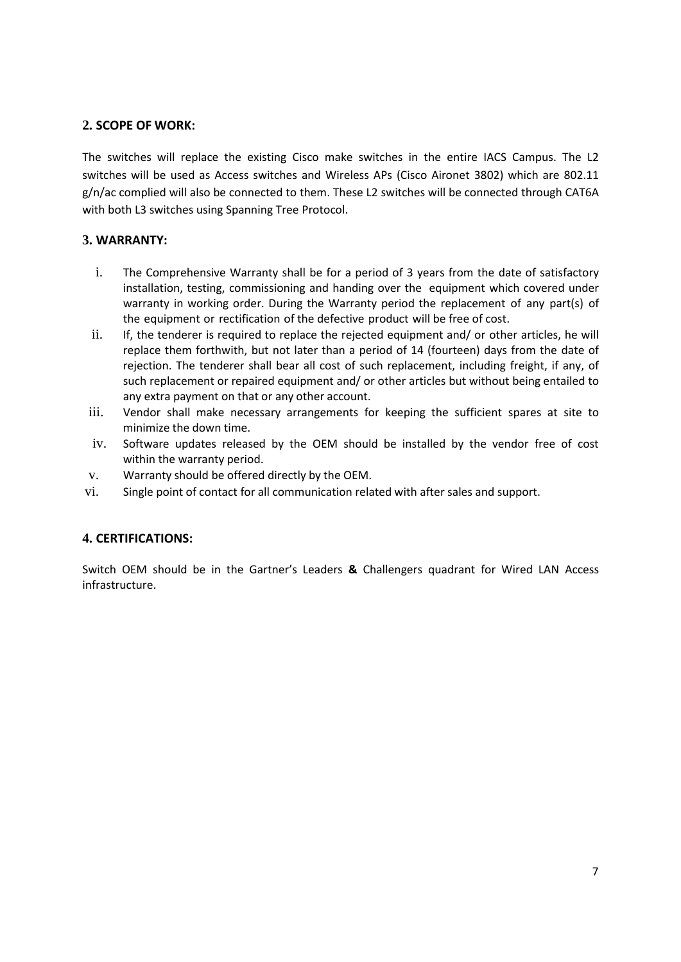# **2. SCOPE OF WORK:**

The switches will replace the existing Cisco make switches in the entire IACS Campus. The L2 switches will be used as Access switches and Wireless APs (Cisco Aironet 3802) which are 802.11 g/n/ac complied will also be connected to them. These L2 switches will be connected through CAT6A with both L3 switches using Spanning Tree Protocol.

## **3. WARRANTY:**

- i. The Comprehensive Warranty shall be for a period of 3 years from the date of satisfactory installation, testing, commissioning and handing over the equipment which covered under warranty in working order. During the Warranty period the replacement of any part(s) of the equipment or rectification of the defective product will be free of cost.
- ii. If, the tenderer is required to replace the rejected equipment and/ or other articles, he will replace them forthwith, but not later than a period of 14 (fourteen) days from the date of rejection. The tenderer shall bear all cost of such replacement, including freight, if any, of such replacement or repaired equipment and/ or other articles but without being entailed to any extra payment on that or any other account.
- iii. Vendor shall make necessary arrangements for keeping the sufficient spares at site to minimize the down time.
- iv. Software updates released by the OEM should be installed by the vendor free of cost within the warranty period.
- v. Warranty should be offered directly by the OEM.
- vi. Single point of contact for all communication related with after sales and support.

# **4. CERTIFICATIONS:**

Switch OEM should be in the Gartner's Leaders **&** Challengers quadrant for Wired LAN Access infrastructure.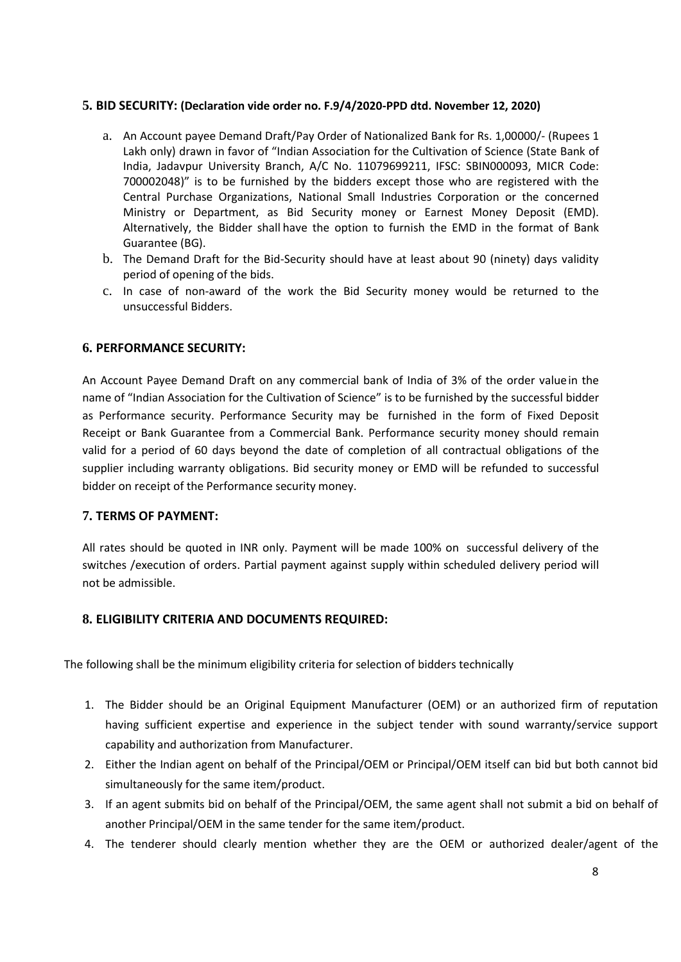## **5. BID SECURITY: (Declaration vide order no. F.9/4/2020-PPD dtd. November 12, 2020)**

- a. An Account payee Demand Draft/Pay Order of Nationalized Bank for Rs. 1,00000/- (Rupees 1 Lakh only) drawn in favor of "Indian Association for the Cultivation of Science (State Bank of India, Jadavpur University Branch, A/C No. 11079699211, IFSC: SBIN000093, MICR Code: 700002048)" is to be furnished by the bidders except those who are registered with the Central Purchase Organizations, National Small Industries Corporation or the concerned Ministry or Department, as Bid Security money or Earnest Money Deposit (EMD). Alternatively, the Bidder shall have the option to furnish the EMD in the format of Bank Guarantee (BG).
- b. The Demand Draft for the Bid-Security should have at least about 90 (ninety) days validity period of opening of the bids.
- c. In case of non-award of the work the Bid Security money would be returned to the unsuccessful Bidders.

## **6. PERFORMANCE SECURITY:**

An Account Payee Demand Draft on any commercial bank of India of 3% of the order valuein the name of "Indian Association for the Cultivation of Science" is to be furnished by the successful bidder as Performance security. Performance Security may be furnished in the form of Fixed Deposit Receipt or Bank Guarantee from a Commercial Bank. Performance security money should remain valid for a period of 60 days beyond the date of completion of all contractual obligations of the supplier including warranty obligations. Bid security money or EMD will be refunded to successful bidder on receipt of the Performance security money.

#### **7. TERMS OF PAYMENT:**

All rates should be quoted in INR only. Payment will be made 100% on successful delivery of the switches /execution of orders. Partial payment against supply within scheduled delivery period will not be admissible.

## **8. ELIGIBILITY CRITERIA AND DOCUMENTS REQUIRED:**

The following shall be the minimum eligibility criteria for selection of bidders technically

- 1. The Bidder should be an Original Equipment Manufacturer (OEM) or an authorized firm of reputation having sufficient expertise and experience in the subject tender with sound warranty/service support capability and authorization from Manufacturer.
- 2. Either the Indian agent on behalf of the Principal/OEM or Principal/OEM itself can bid but both cannot bid simultaneously for the same item/product.
- 3. If an agent submits bid on behalf of the Principal/OEM, the same agent shall not submit a bid on behalf of another Principal/OEM in the same tender for the same item/product.
- 4. The tenderer should clearly mention whether they are the OEM or authorized dealer/agent of the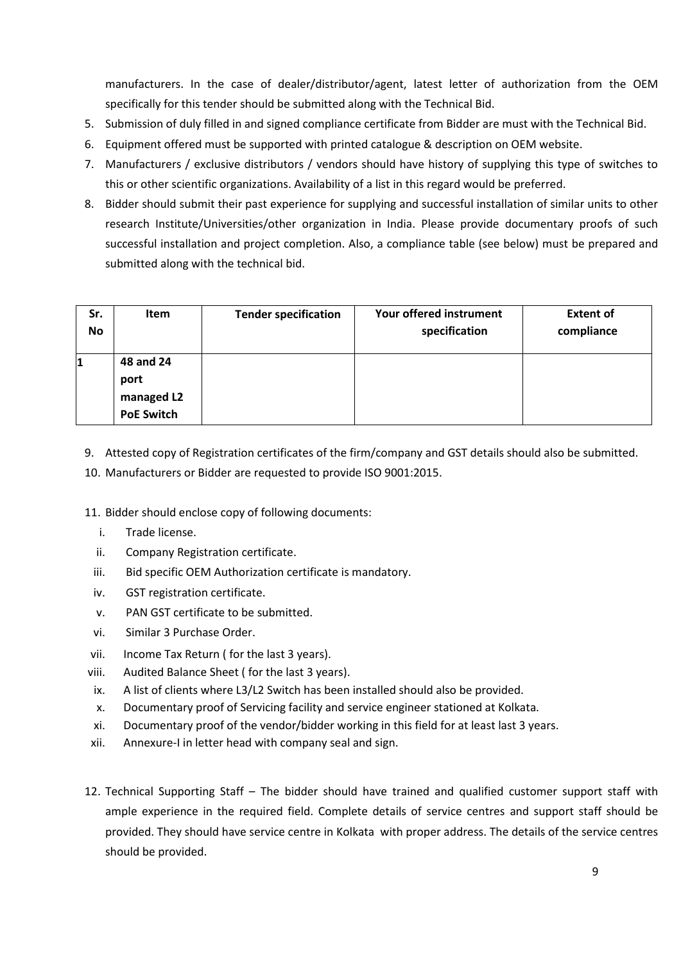manufacturers. In the case of dealer/distributor/agent, latest letter of authorization from the OEM specifically for this tender should be submitted along with the Technical Bid.

- 5. Submission of duly filled in and signed compliance certificate from Bidder are must with the Technical Bid.
- 6. Equipment offered must be supported with printed catalogue & description on OEM website.
- 7. Manufacturers / exclusive distributors / vendors should have history of supplying this type of switches to this or other scientific organizations. Availability of a list in this regard would be preferred.
- 8. Bidder should submit their past experience for supplying and successful installation of similar units to other research Institute/Universities/other organization in India. Please provide documentary proofs of such successful installation and project completion. Also, a compliance table (see below) must be prepared and submitted along with the technical bid.

| Sr.       | <b>Item</b>       | <b>Tender specification</b> | Your offered instrument | <b>Extent of</b> |
|-----------|-------------------|-----------------------------|-------------------------|------------------|
| <b>No</b> |                   |                             | specification           | compliance       |
|           | 48 and 24         |                             |                         |                  |
|           | port              |                             |                         |                  |
|           | managed L2        |                             |                         |                  |
|           | <b>PoE Switch</b> |                             |                         |                  |

9. Attested copy of Registration certificates of the firm/company and GST details should also be submitted.

10. Manufacturers or Bidder are requested to provide ISO 9001:2015.

11. Bidder should enclose copy of following documents:

- i. Trade license.
- ii. Company Registration certificate.
- iii. Bid specific OEM Authorization certificate is mandatory.
- iv. GST registration certificate.
- v. PAN GST certificate to be submitted.
- vi. Similar 3 Purchase Order.
- vii. Income Tax Return ( for the last 3 years).
- viii. Audited Balance Sheet ( for the last 3 years).
- ix. A list of clients where L3/L2 Switch has been installed should also be provided.
- x. Documentary proof of Servicing facility and service engineer stationed at Kolkata.
- xi. Documentary proof of the vendor/bidder working in this field for at least last 3 years.
- xii. Annexure-I in letter head with company seal and sign.
- 12. Technical Supporting Staff The bidder should have trained and qualified customer support staff with ample experience in the required field. Complete details of service centres and support staff should be provided. They should have service centre in Kolkata with proper address. The details of the service centres should be provided.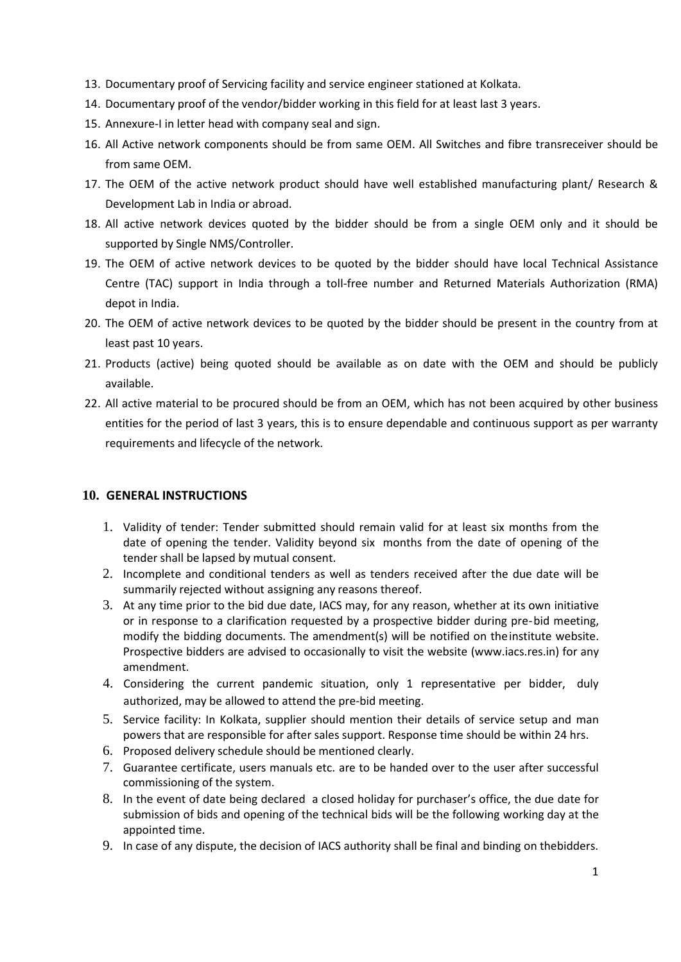- 13. Documentary proof of Servicing facility and service engineer stationed at Kolkata.
- 14. Documentary proof of the vendor/bidder working in this field for at least last 3 years.
- 15. Annexure-I in letter head with company seal and sign.
- 16. All Active network components should be from same OEM. All Switches and fibre transreceiver should be from same OEM.
- 17. The OEM of the active network product should have well established manufacturing plant/ Research & Development Lab in India or abroad.
- 18. All active network devices quoted by the bidder should be from a single OEM only and it should be supported by Single NMS/Controller.
- 19. The OEM of active network devices to be quoted by the bidder should have local Technical Assistance Centre (TAC) support in India through a toll-free number and Returned Materials Authorization (RMA) depot in India.
- 20. The OEM of active network devices to be quoted by the bidder should be present in the country from at least past 10 years.
- 21. Products (active) being quoted should be available as on date with the OEM and should be publicly available.
- 22. All active material to be procured should be from an OEM, which has not been acquired by other business entities for the period of last 3 years, this is to ensure dependable and continuous support as per warranty requirements and lifecycle of the network.

## **10. GENERAL INSTRUCTIONS**

- 1. Validity of tender: Tender submitted should remain valid for at least six months from the date of opening the tender. Validity beyond six months from the date of opening of the tender shall be lapsed by mutual consent.
- 2. Incomplete and conditional tenders as well as tenders received after the due date will be summarily rejected without assigning any reasons thereof.
- 3. At any time prior to the bid due date, IACS may, for any reason, whether at its own initiative or in response to a clarification requested by a prospective bidder during pre-bid meeting, modify the bidding documents. The amendment(s) will be notified on theinstitute website. Prospective bidders are advised to occasionally to visit the website (www.iacs.res.in) for any amendment.
- 4. Considering the current pandemic situation, only 1 representative per bidder, duly authorized, may be allowed to attend the pre-bid meeting.
- 5. Service facility: In Kolkata, supplier should mention their details of service setup and man powers that are responsible for after sales support. Response time should be within 24 hrs.
- 6. Proposed delivery schedule should be mentioned clearly.
- 7. Guarantee certificate, users manuals etc. are to be handed over to the user after successful commissioning of the system.
- 8. In the event of date being declared a closed holiday for purchaser's office, the due date for submission of bids and opening of the technical bids will be the following working day at the appointed time.
- 9. In case of any dispute, the decision of IACS authority shall be final and binding on thebidders.